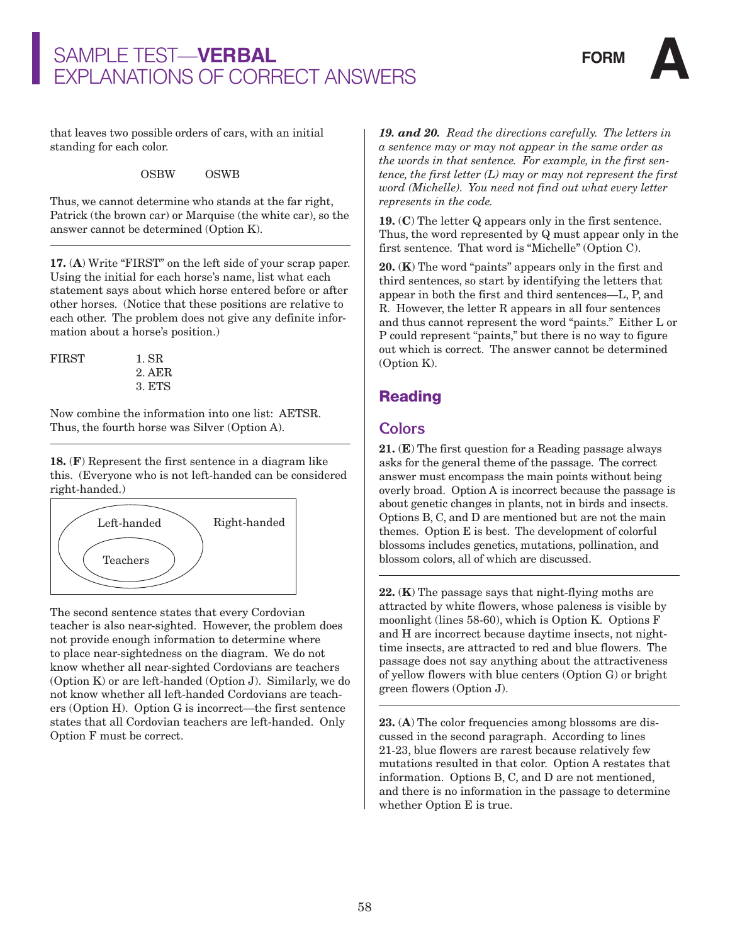

that leaves two possible orders of cars, with an initial standing for each color.

OSBW OSWB

Thus, we cannot determine who stands at the far right, Patrick (the brown car) or Marquise (the white car), so the answer cannot be determined (Option K).

**17.** (**A**) Write "FIRST" on the left side of your scrap paper. Using the initial for each horse's name, list what each statement says about which horse entered before or after other horses. (Notice that these positions are relative to each other. The problem does not give any definite information about a horse's position.)

| FIRST | 1. SR  |
|-------|--------|
|       | 2. AER |
|       | 3. ETS |

Now combine the information into one list: AETSR. Thus, the fourth horse was Silver (Option A).

**18.** (**F**) Represent the first sentence in a diagram like this. (Everyone who is not left-handed can be considered right-handed.)



The second sentence states that every Cordovian teacher is also near-sighted. However, the problem does not provide enough information to determine where to place near-sightedness on the diagram. We do not know whether all near-sighted Cordovians are teachers (Option K) or are left-handed (Option J). Similarly, we do not know whether all left-handed Cordovians are teachers (Option H). Option G is incorrect—the first sentence states that all Cordovian teachers are left-handed. Only Option F must be correct.

*19. and 20. Read the directions carefully. The letters in a sentence may or may not appear in the same order as the words in that sentence. For example, in the first sentence, the first letter (L) may or may not represent the first word (Michelle). You need not find out what every letter represents in the code.*

**19.** (**C**) The letter Q appears only in the first sentence. Thus, the word represented by Q must appear only in the first sentence. That word is "Michelle" (Option C).

**20.** (**K**) The word "paints" appears only in the first and third sentences, so start by identifying the letters that appear in both the first and third sentences—L, P, and R. However, the letter R appears in all four sentences and thus cannot represent the word "paints." Either L or P could represent "paints," but there is no way to figure out which is correct. The answer cannot be determined (Option K).

### **Reading**

#### **Colors**

**21.** (**E**) The first question for a Reading passage always asks for the general theme of the passage. The correct answer must encompass the main points without being overly broad. Option A is incorrect because the passage is about genetic changes in plants, not in birds and insects. Options B, C, and D are mentioned but are not the main themes. Option E is best. The development of colorful blossoms includes genetics, mutations, pollination, and blossom colors, all of which are discussed.

**22.** (**K**) The passage says that night-flying moths are attracted by white flowers, whose paleness is visible by moonlight (lines 58-60), which is Option K. Options F and H are incorrect because daytime insects, not nighttime insects, are attracted to red and blue flowers. The passage does not say anything about the attractiveness of yellow flowers with blue centers (Option G) or bright green flowers (Option J).

**23.** (**A**) The color frequencies among blossoms are discussed in the second paragraph. According to lines 21-23, blue flowers are rarest because relatively few mutations resulted in that color. Option A restates that information. Options B, C, and D are not mentioned, and there is no information in the passage to determine whether Option E is true.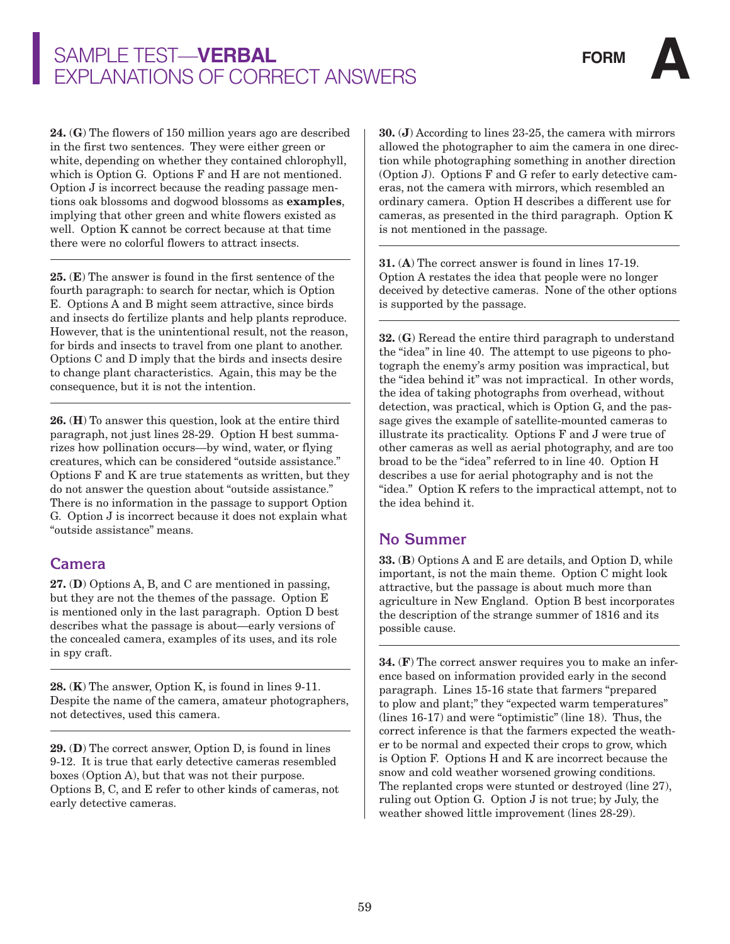**24.** (**G**) The flowers of 150 million years ago are described in the first two sentences. They were either green or white, depending on whether they contained chlorophyll, which is Option G. Options F and H are not mentioned. Option J is incorrect because the reading passage mentions oak blossoms and dogwood blossoms as **examples**, implying that other green and white flowers existed as well. Option K cannot be correct because at that time there were no colorful flowers to attract insects.

**25.** (**E**) The answer is found in the first sentence of the fourth paragraph: to search for nectar, which is Option E. Options A and B might seem attractive, since birds and insects do fertilize plants and help plants reproduce. However, that is the unintentional result, not the reason, for birds and insects to travel from one plant to another. Options C and D imply that the birds and insects desire to change plant characteristics. Again, this may be the consequence, but it is not the intention.

**26.** (**H**) To answer this question, look at the entire third paragraph, not just lines 28-29. Option H best summarizes how pollination occurs—by wind, water, or flying creatures, which can be considered "outside assistance." Options F and K are true statements as written, but they do not answer the question about "outside assistance." There is no information in the passage to support Option G. Option J is incorrect because it does not explain what "outside assistance" means.

#### **Camera**

**27.** (**D**) Options A, B, and C are mentioned in passing, but they are not the themes of the passage. Option E is mentioned only in the last paragraph. Option D best describes what the passage is about—early versions of the concealed camera, examples of its uses, and its role in spy craft.

**28.** (**K**) The answer, Option K, is found in lines 9-11. Despite the name of the camera, amateur photographers, not detectives, used this camera.

**29.** (**D**) The correct answer, Option D, is found in lines 9-12. It is true that early detective cameras resembled boxes (Option A), but that was not their purpose. Options B, C, and E refer to other kinds of cameras, not early detective cameras.

**30.** (**J**) According to lines 23-25, the camera with mirrors allowed the photographer to aim the camera in one direction while photographing something in another direction (Option J). Options F and G refer to early detective cameras, not the camera with mirrors, which resembled an ordinary camera. Option H describes a different use for cameras, as presented in the third paragraph. Option K is not mentioned in the passage.

**31.** (**A**) The correct answer is found in lines 17-19. Option A restates the idea that people were no longer deceived by detective cameras. None of the other options is supported by the passage.

**32.** (**G**) Reread the entire third paragraph to understand the "idea" in line 40. The attempt to use pigeons to photograph the enemy's army position was impractical, but the "idea behind it" was not impractical. In other words, the idea of taking photographs from overhead, without detection, was practical, which is Option G, and the passage gives the example of satellite-mounted cameras to illustrate its practicality. Options F and J were true of other cameras as well as aerial photography, and are too broad to be the "idea" referred to in line 40. Option H describes a use for aerial photography and is not the "idea." Option K refers to the impractical attempt, not to the idea behind it.

#### **No Summer**

**33.** (**B**) Options A and E are details, and Option D, while important, is not the main theme. Option C might look attractive, but the passage is about much more than agriculture in New England. Option B best incorporates the description of the strange summer of 1816 and its possible cause.

**34.** (**F**) The correct answer requires you to make an inference based on information provided early in the second paragraph. Lines 15-16 state that farmers "prepared to plow and plant;" they "expected warm temperatures" (lines 16-17) and were "optimistic" (line 18). Thus, the correct inference is that the farmers expected the weather to be normal and expected their crops to grow, which is Option F. Options H and K are incorrect because the snow and cold weather worsened growing conditions. The replanted crops were stunted or destroyed (line 27), ruling out Option G. Option J is not true; by July, the weather showed little improvement (lines 28-29).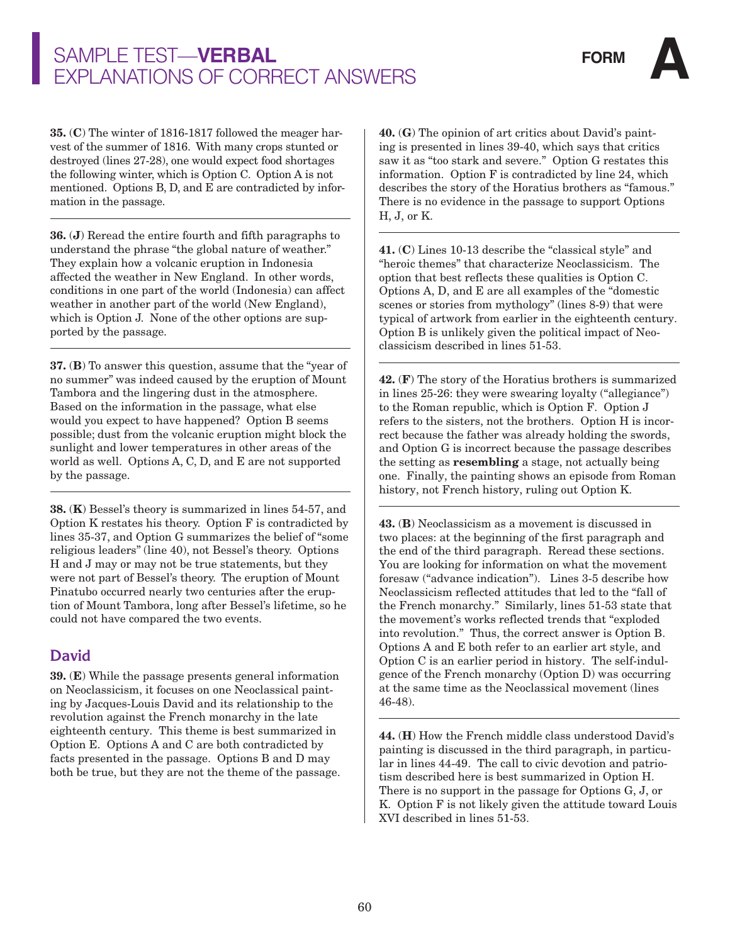**35.** (**C**) The winter of 1816-1817 followed the meager harvest of the summer of 1816. With many crops stunted or destroyed (lines 27-28), one would expect food shortages the following winter, which is Option C. Option A is not mentioned. Options B, D, and E are contradicted by information in the passage.

**36.** (**J**) Reread the entire fourth and fifth paragraphs to understand the phrase "the global nature of weather." They explain how a volcanic eruption in Indonesia affected the weather in New England. In other words, conditions in one part of the world (Indonesia) can affect weather in another part of the world (New England), which is Option J. None of the other options are supported by the passage.

**37.** (**B**) To answer this question, assume that the "year of no summer" was indeed caused by the eruption of Mount Tambora and the lingering dust in the atmosphere. Based on the information in the passage, what else would you expect to have happened? Option B seems possible; dust from the volcanic eruption might block the sunlight and lower temperatures in other areas of the world as well. Options A, C, D, and E are not supported by the passage.

**38.** (**K**) Bessel's theory is summarized in lines 54-57, and Option K restates his theory. Option F is contradicted by lines 35-37, and Option G summarizes the belief of "some religious leaders" (line 40), not Bessel's theory. Options H and J may or may not be true statements, but they were not part of Bessel's theory. The eruption of Mount Pinatubo occurred nearly two centuries after the eruption of Mount Tambora, long after Bessel's lifetime, so he could not have compared the two events.

### **David**

**39.** (**E**) While the passage presents general information on Neoclassicism, it focuses on one Neoclassical painting by Jacques-Louis David and its relationship to the revolution against the French monarchy in the late eighteenth century. This theme is best summarized in Option E. Options A and C are both contradicted by facts presented in the passage. Options B and D may both be true, but they are not the theme of the passage. **40.** (**G**) The opinion of art critics about David's painting is presented in lines 39-40, which says that critics saw it as "too stark and severe." Option G restates this information. Option F is contradicted by line 24, which describes the story of the Horatius brothers as "famous." There is no evidence in the passage to support Options H, J, or K.

**41.** (**C**) Lines 10-13 describe the "classical style" and "heroic themes" that characterize Neoclassicism. The option that best reflects these qualities is Option C. Options A, D, and E are all examples of the "domestic scenes or stories from mythology" (lines 8-9) that were typical of artwork from earlier in the eighteenth century. Option B is unlikely given the political impact of Neoclassicism described in lines 51-53.

**42.** (**F**) The story of the Horatius brothers is summarized in lines 25-26: they were swearing loyalty ("allegiance") to the Roman republic, which is Option F. Option J refers to the sisters, not the brothers. Option H is incorrect because the father was already holding the swords, and Option G is incorrect because the passage describes the setting as **resembling** a stage, not actually being one. Finally, the painting shows an episode from Roman history, not French history, ruling out Option K.

**43.** (**B**) Neoclassicism as a movement is discussed in two places: at the beginning of the first paragraph and the end of the third paragraph. Reread these sections. You are looking for information on what the movement foresaw ("advance indication"). Lines 3-5 describe how Neoclassicism reflected attitudes that led to the "fall of the French monarchy." Similarly, lines 51-53 state that the movement's works reflected trends that "exploded into revolution." Thus, the correct answer is Option B. Options A and E both refer to an earlier art style, and Option C is an earlier period in history. The self-indulgence of the French monarchy (Option D) was occurring at the same time as the Neoclassical movement (lines 46-48).

**44.** (**H**) How the French middle class understood David's painting is discussed in the third paragraph, in particular in lines 44-49. The call to civic devotion and patriotism described here is best summarized in Option H. There is no support in the passage for Options G, J, or K. Option F is not likely given the attitude toward Louis XVI described in lines 51-53.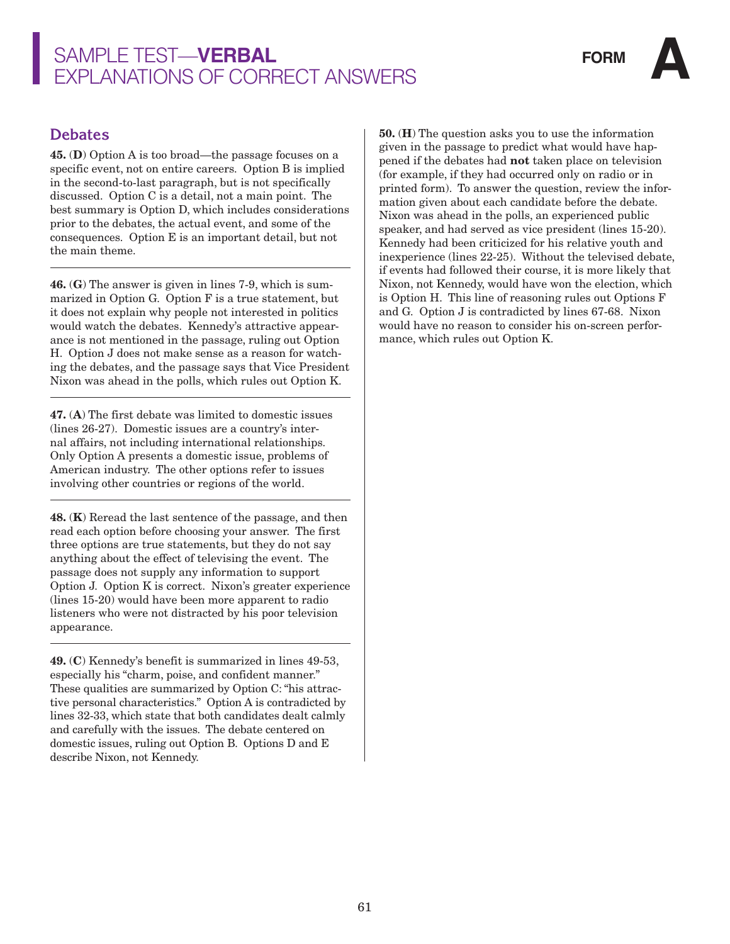

#### **Debates**

**45.** (**D**) Option A is too broad—the passage focuses on a specific event, not on entire careers. Option B is implied in the second-to-last paragraph, but is not specifically discussed. Option C is a detail, not a main point. The best summary is Option D, which includes considerations prior to the debates, the actual event, and some of the consequences. Option E is an important detail, but not the main theme.

**46.** (**G**) The answer is given in lines 7-9, which is summarized in Option G. Option F is a true statement, but it does not explain why people not interested in politics would watch the debates. Kennedy's attractive appearance is not mentioned in the passage, ruling out Option H. Option J does not make sense as a reason for watching the debates, and the passage says that Vice President Nixon was ahead in the polls, which rules out Option K.

**47.** (**A**) The first debate was limited to domestic issues (lines 26-27). Domestic issues are a country's internal affairs, not including international relationships. Only Option A presents a domestic issue, problems of American industry. The other options refer to issues involving other countries or regions of the world.

**48.** (**K**) Reread the last sentence of the passage, and then read each option before choosing your answer. The first three options are true statements, but they do not say anything about the effect of televising the event. The passage does not supply any information to support Option J. Option K is correct. Nixon's greater experience (lines 15-20) would have been more apparent to radio listeners who were not distracted by his poor television appearance.

**49.** (**C**) Kennedy's benefit is summarized in lines 49-53, especially his "charm, poise, and confident manner." These qualities are summarized by Option C: "his attractive personal characteristics." Option A is contradicted by lines 32-33, which state that both candidates dealt calmly and carefully with the issues. The debate centered on domestic issues, ruling out Option B. Options D and E describe Nixon, not Kennedy.

**50.** (**H**) The question asks you to use the information given in the passage to predict what would have happened if the debates had **not** taken place on television (for example, if they had occurred only on radio or in printed form). To answer the question, review the information given about each candidate before the debate. Nixon was ahead in the polls, an experienced public speaker, and had served as vice president (lines 15-20). Kennedy had been criticized for his relative youth and inexperience (lines 22-25). Without the televised debate, if events had followed their course, it is more likely that Nixon, not Kennedy, would have won the election, which is Option H. This line of reasoning rules out Options F and G. Option J is contradicted by lines 67-68. Nixon would have no reason to consider his on-screen performance, which rules out Option K.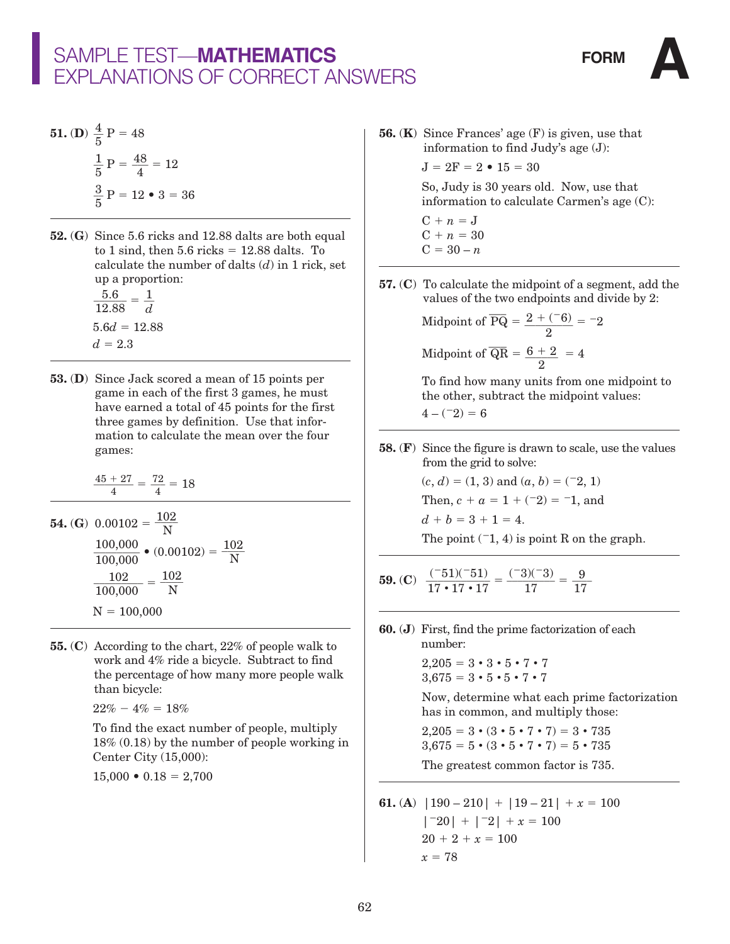**51.** (D) 
$$
\frac{4}{5}
$$
 P = 48  
 $\frac{1}{5}$  P =  $\frac{48}{4}$  = 12  
 $\frac{3}{5}$  P = 12 • 3 = 36

- **52.** (**G**) Since 5.6 ricks and 12.88 dalts are both equal to 1 sind, then  $5.6$  ricks =  $12.88$  dalts. To calculate the number of dalts (*d*) in 1 rick, set up a proportion:
- $\frac{5.6}{12.88} = \frac{1}{d}$  $5.6d = 12.88$  $d = 2.3$
- **53.** (**D**)Since Jack scored a mean of 15 points per game in each of the first 3 games, he must have earned a total of 45 points for the first three games by definition. Use that information to calculate the mean over the four games:

$$
\frac{45+27}{4} = \frac{72}{4} = 18
$$

**54.** (G) 
$$
0.00102 = \frac{102}{N}
$$
  
\n
$$
\frac{100,000}{100,000} \bullet (0.00102) = \frac{102}{N}
$$
\n
$$
\frac{102}{100,000} = \frac{102}{N}
$$
\n
$$
N = 100,000
$$

**55.** (**C**) According to the chart, 22% of people walk to work and 4% ride a bicycle. Subtract to find the percentage of how many more people walk than bicycle:

 $22\% - 4\% = 18\%$ 

 To find the exact number of people, multiply 18% (0.18) by the number of people working in Center City (15,000):

 $15,000 \cdot 0.18 = 2,700$ 

**56.** (**K**) Since Frances' age (F) is given, use that information to find Judy's age (J):

 $J = 2F = 2 \cdot 15 = 30$ 

 So, Judy is 30 years old. Now, use that information to calculate Carmen's age (C):

 $C + n = J$  $C + n = 30$  $C = 30 - n$ 

**57.** (**C**) To calculate the midpoint of a segment, add the values of the two endpoints and divide by 2:

Midpoint of  $\overline{PQ} = \frac{2 + (-6)}{2}$ 2  $\frac{6}{2} = -2$ Midpoint of  $\overline{QR} = \frac{6+2}{2}$ 2  $\frac{2}{1}$  = 4

> To find how many units from one midpoint to the other, subtract the midpoint values:  $4 - (-2) = 6$

**58.** (**F**) Since the figure is drawn to scale, use the values from the grid to solve:

> $(c, d) = (1, 3)$  and  $(a, b) = (-2, 1)$ Then,  $c + a = 1 + (-2) = -1$ , and  $d + b = 3 + 1 = 4.$

The point  $(-1, 4)$  is point R on the graph.

**59.** (C) 
$$
\frac{(-51)(-51)}{17 \cdot 17 \cdot 17} = \frac{(-3)(-3)}{17} = \frac{9}{17}
$$

**60.** (**J**) First, find the prime factorization of each number:

 $2,205 = 3 \cdot 3 \cdot 5 \cdot 7 \cdot 7$  $3.675 = 3 \cdot 5 \cdot 5 \cdot 7 \cdot 7$ 

 Now, determine what each prime factorization has in common, and multiply those:

 $2.205 = 3 \cdot (3 \cdot 5 \cdot 7 \cdot 7) = 3 \cdot 735$  $3,675 = 5 \cdot (3 \cdot 5 \cdot 7 \cdot 7) = 5 \cdot 735$ 

The greatest common factor is 735.

**61.** (**A**) 
$$
|190 - 210| + |19 - 21| + x = 100
$$
  
\n $|-20| + |-2| + x = 100$   
\n $20 + 2 + x = 100$   
\n $x = 78$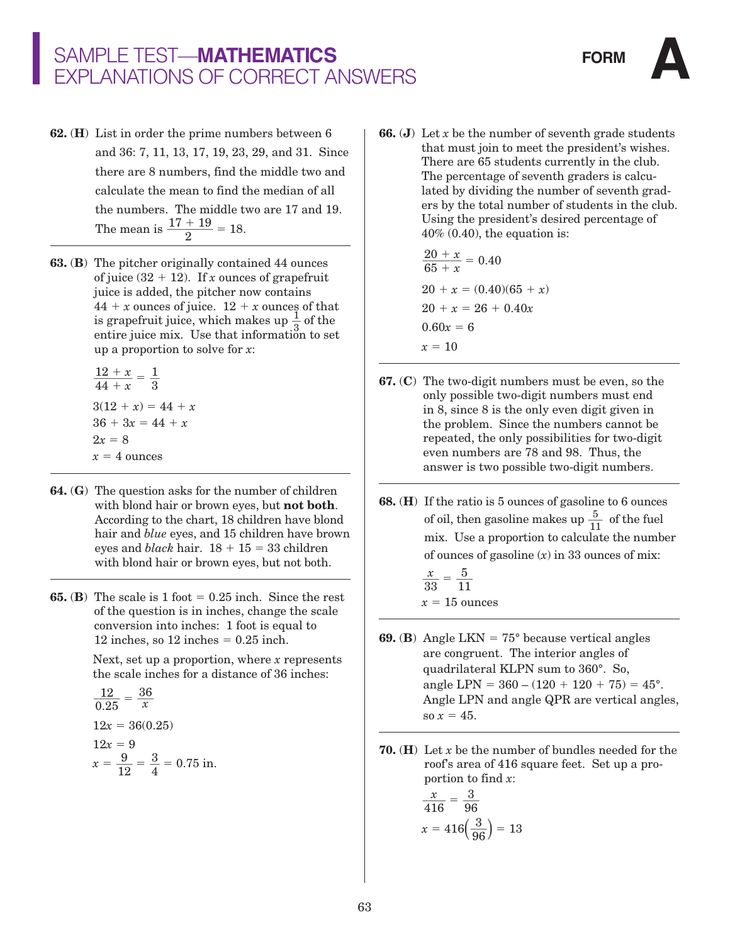- **62.** (**H**) List in order the prime numbers between 6 and 36: 7, 11, 13, 17, 19, 23, 29, and 31. Since there are 8 numbers, find the middle two and calculate the mean to find the median of all the numbers. The middle two are 17 and 19. The mean is  $\frac{17 + 19}{2} = 18$ .
- **63.** (**B**) The pitcher originally contained 44 ounces of juice  $(32 + 12)$ . If *x* ounces of grapefruit juice is added, the pitcher now contains  $44 + x$  ounces of juice.  $12 + x$  ounces of that is grapefruit juice, which makes up  $\frac{1}{3}$  of the entire juice mix. Use that information to set up a proportion to solve for *x*:

 $\frac{12+x}{44+x} = \frac{1}{3}$  $\frac{1}{3}$  $3(12 + x) = 44 + x$  $36 + 3x = 44 + x$  $2x = 8$  $x = 4$  ounces

- **64.** (**G**) The question asks for the number of children with blond hair or brown eyes, but **not both**. According to the chart, 18 children have blond hair and *blue* eyes, and 15 children have brown eyes and *black* hair.  $18 + 15 = 33$  children with blond hair or brown eyes, but not both.
- **65.** (**B**) The scale is 1 foot  $= 0.25$  inch. Since the rest of the question is in inches, change the scale conversion into inches: 1 foot is equal to 12 inches, so  $12$  inches  $= 0.25$  inch.

 Next, set up a proportion, where *x* represents the scale inches for a distance of 36 inches:

$$
\frac{12}{0.25} = \frac{36}{x}
$$
  
12x = 36(0.25)  
12x = 9  

$$
x = \frac{9}{12} = \frac{3}{4} = 0.75
$$
in.

**66.** (**J**) Let *x* be the number of seventh grade students that must join to meet the president's wishes. There are 65 students currently in the club. The percentage of seventh graders is calculated by dividing the number of seventh graders by the total number of students in the club. Using the president's desired percentage of 40% (0.40), the equation is:

$$
\frac{20 + x}{65 + x} = 0.40
$$
  
20 + x = (0.40)(65 + x)  
20 + x = 26 + 0.40x  
0.60x = 6  
x = 10

- **67.** (**C**) The two-digit numbers must be even, so the only possible two-digit numbers must end in 8, since 8 is the only even digit given in the problem. Since the numbers cannot be repeated, the only possibilities for two-digit even numbers are 78 and 98. Thus, the answer is two possible two-digit numbers.
- **68.** (**H**) If the ratio is 5 ounces of gasoline to 6 ounces of oil, then gasoline makes up  $\frac{5}{11}$  of the fuel mix. Use a proportion to calculate the number of ounces of gasoline (*x*) in 33 ounces of mix:
- $\frac{x}{33} = \frac{5}{11}$  $x = 15$  ounces
- **69.** (**B**) Angle LKN =  $75^{\circ}$  because vertical angles are congruent. The interior angles of quadrilateral KLPN sum to 360°. So, angle LPN =  $360 - (120 + 120 + 75) = 45^{\circ}$ . Angle LPN and angle QPR are vertical angles, so  $x = 45$ .
- **70.** (**H**) Let *x* be the number of bundles needed for the roof's area of 416 square feet. Set up a proportion to find *x*:

$$
\frac{x}{416} = \frac{3}{96}
$$

$$
x = 416\left(\frac{3}{96}\right) = 13
$$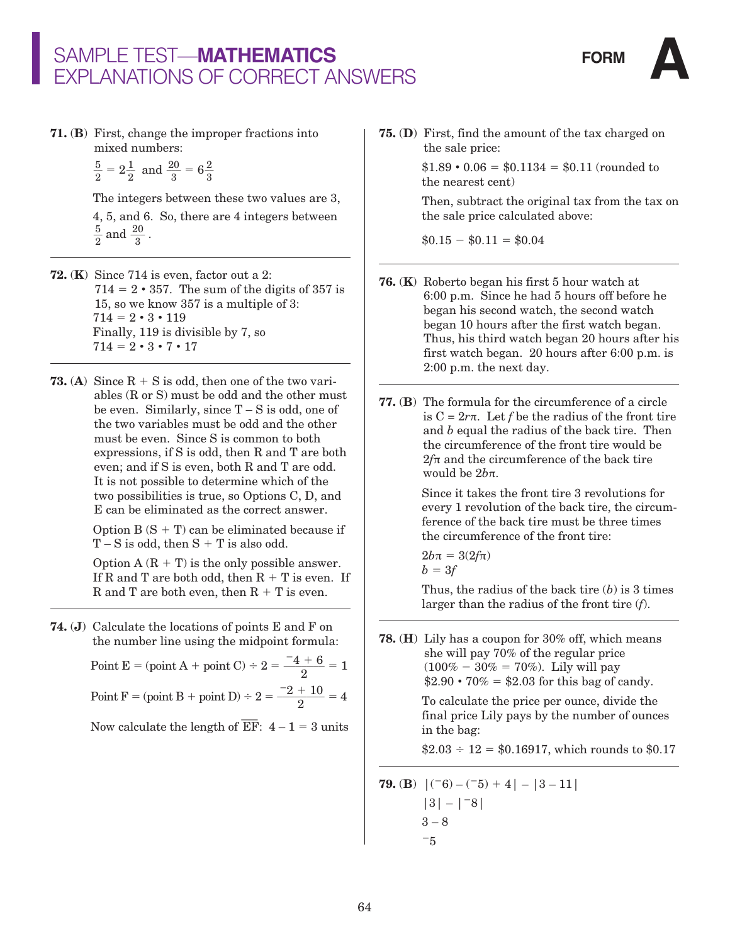

**71.** (**B**) First, change the improper fractions into mixed numbers:

$$
\frac{5}{2} = 2\frac{1}{2}
$$
 and  $\frac{20}{3} = 6\frac{2}{3}$ 

The integers between these two values are 3,

4, 5, and 6. So, there are 4 integers between  $\frac{5}{2}$  and  $\frac{20}{3}$ .

- **72.** (**K**) Since 714 is even, factor out a 2:  $714 = 2 \cdot 357$ . The sum of the digits of 357 is 15, so we know 357 is a multiple of 3:  $714 = 2 \cdot 3 \cdot 119$  Finally, 119 is divisible by 7, so  $714 = 2 \cdot 3 \cdot 7 \cdot 17$
- **73.** (A) Since  $R + S$  is odd, then one of the two variables (R or S) must be odd and the other must be even. Similarly, since  $T-S$  is odd, one of the two variables must be odd and the other must be even. Since S is common to both expressions, if S is odd, then R and T are both even; and if S is even, both R and T are odd. It is not possible to determine which of the two possibilities is true, so Options C, D, and E can be eliminated as the correct answer.

Option  $B(S + T)$  can be eliminated because if  $T-S$  is odd, then  $S + T$  is also odd.

Option  $A (R + T)$  is the only possible answer. If R and T are both odd, then  $R + T$  is even. If R and T are both even, then  $R + T$  is even.

**74.** (**J**) Calculate the locations of points E and F on the number line using the midpoint formula:

Point E = (point A + point C) ÷ 2 =  $\frac{-4 + 6}{8}$  $\frac{1}{2}$  = 1 Point F = (point B + point D) ÷ 2 =  $\frac{-2 + 10}{9}$  $\frac{1}{2}$  = 4

Now calculate the length of  $\overline{EF}$ :  $4-1=3$  units

**75.** (**D**) First, find the amount of the tax charged on the sale price:

> $$1.89 \cdot 0.06 = $0.1134 = $0.11$  (rounded to the nearest cent)

 Then, subtract the original tax from the tax on the sale price calculated above:

 $$0.15 - $0.11 = $0.04$ 

- **76.** (**K**) Roberto began his first 5 hour watch at 6:00 p.m. Since he had 5 hours off before he began his second watch, the second watch began 10 hours after the first watch began. Thus, his third watch began 20 hours after his first watch began. 20 hours after 6:00 p.m. is 2:00 p.m. the next day.
- **77.** (**B**) The formula for the circumference of a circle is  $C = 2r\pi$ . Let *f* be the radius of the front tire and *b* equal the radius of the back tire. Then the circumference of the front tire would be  $2f\pi$  and the circumference of the back tire would be 2*b*π.

 Since it takes the front tire 3 revolutions for every 1 revolution of the back tire, the circumference of the back tire must be three times the circumference of the front tire:

$$
2b\pi = 3(2f\pi)
$$
  

$$
b = 3f
$$

Thus, the radius of the back tire  $(b)$  is 3 times larger than the radius of the front tire (*f*).

**78.** (**H**) Lily has a coupon for 30% off, which means she will pay 70% of the regular price  $(100\% - 30\% = 70\%).$  Lily will pay  $$2.90 \cdot 70\% = $2.03$  for this bag of candy.

> To calculate the price per ounce, divide the final price Lily pays by the number of ounces in the bag:

 $$2.03 \div 12 = $0.16917$ , which rounds to \$0.17

**79. (B)** 
$$
|(16) - (16) + 4| - |3 - 11|
$$
  
\n $|3| - |1 - 8|$   
\n $3 - 8$   
\n $-5$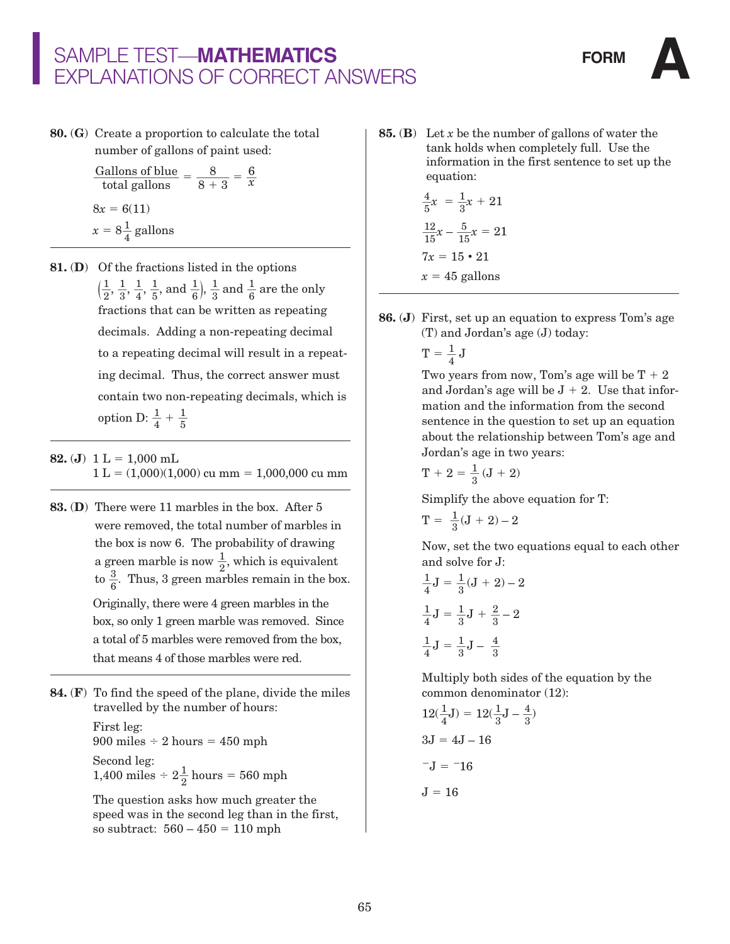**80.** (**G**) Create a proportion to calculate the total number of gallons of paint used:

$$
\frac{\text{Gallons of blue}}{\text{total gallons}} = \frac{8}{8+3} = \frac{6}{x}
$$

$$
8x = 6(11)
$$

$$
x = 8\frac{1}{4} \text{ gallons}
$$

- **81.** (**D**) Of the fractions listed in the options  $(\frac{1}{2}, \frac{1}{3}, \frac{1}{4}, \frac{1}{5}, \text{and } \frac{1}{6})$ ,  $\frac{1}{3}$  and  $\frac{1}{6}$  are the only fractions that can be written as repeating decimals. Adding a non-repeating decimal to a repeating decimal will result in a repeating decimal. Thus, the correct answer must contain two non-repeating decimals, which is option D:  $\frac{1}{4} + \frac{1}{5}$
- **82.** (**J**)  $1 L = 1,000$  mL  $1 L = (1,000)(1,000)$  cu mm = 1,000,000 cu mm
- **83.** (**D**) There were 11 marbles in the box. After 5 were removed, the total number of marbles in the box is now 6. The probability of drawing a green marble is now  $\frac{1}{2}$ , which is equivalent to  $\frac{3}{6}$ . Thus, 3 green marbles remain in the box.

 Originally, there were 4 green marbles in the box, so only 1 green marble was removed. Since a total of 5 marbles were removed from the box, that means 4 of those marbles were red.

**84.** (**F**) To find the speed of the plane, divide the miles travelled by the number of hours:

> First leg:  $900$  miles  $\div$  2 hours = 450 mph Second leg:

1,400 miles ÷  $2\frac{1}{2}$  hours = 560 mph

 The question asks how much greater the speed was in the second leg than in the first, so subtract:  $560 - 450 = 110$  mph

**85.** (**B**) Let *x* be the number of gallons of water the tank holds when completely full. Use the information in the first sentence to set up the equation:

$$
\frac{4}{5}x = \frac{1}{3}x + 21
$$

$$
\frac{12}{15}x - \frac{5}{15}x = 21
$$

$$
7x = 15 \cdot 21
$$

$$
x = 45 \text{ gallons}
$$

- **86.** (**J**) First, set up an equation to express Tom's age (T) and Jordan's age (J) today:
- $\mathrm{T} = \frac{1}{4} \, \mathrm{J}$

Two years from now, Tom's age will be  $T + 2$ and Jordan's age will be  $J + 2$ . Use that information and the information from the second sentence in the question to set up an equation about the relationship between Tom's age and Jordan's age in two years:

$$
T + 2 = \frac{1}{3} (J + 2)
$$

Simplify the above equation for T:

$$
T = \ \frac{1}{3}(J+2) - 2
$$

 Now, set the two equations equal to each other and solve for J:

$$
\frac{1}{4}J = \frac{1}{3}(J + 2) - 2
$$

$$
\frac{1}{4}J = \frac{1}{3}J + \frac{2}{3} - 2
$$

$$
\frac{1}{4}J = \frac{1}{3}J - \frac{4}{3}
$$

 Multiply both sides of the equation by the common denominator (12):

$$
12(\frac{1}{4}J) = 12(\frac{1}{3}J - \frac{4}{3})
$$

$$
3J = 4J - 16
$$

$$
-J = -16
$$

$$
J = 16
$$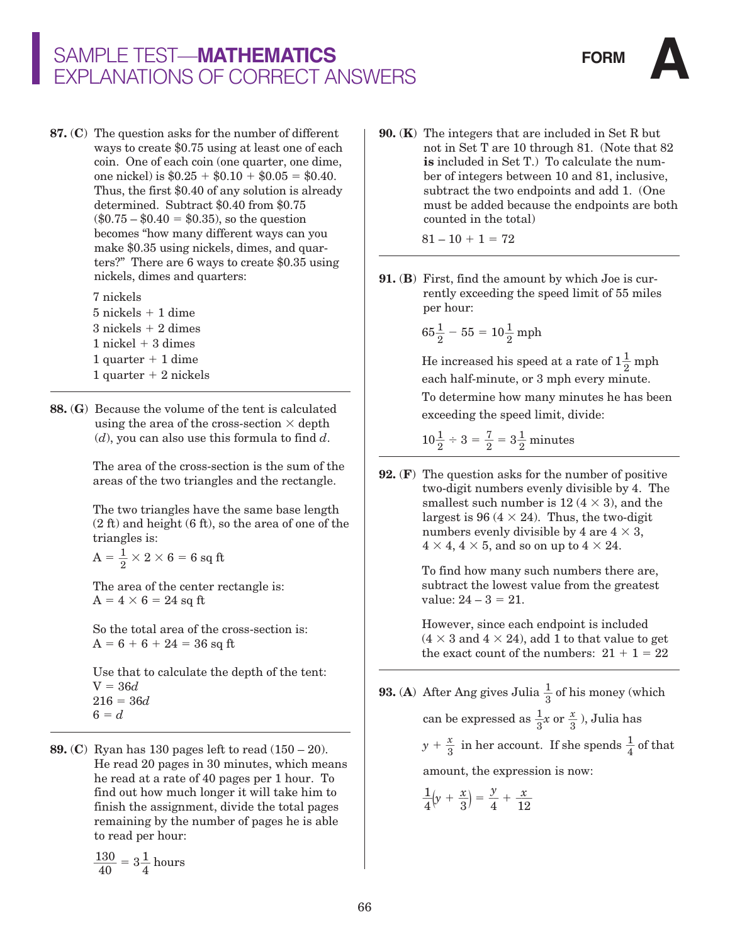**87.** (**C**) The question asks for the number of different ways to create \$0.75 using at least one of each coin. One of each coin (one quarter, one dime, one nickel) is  $$0.25 + $0.10 + $0.05 = $0.40$ . Thus, the first \$0.40 of any solution is already determined. Subtract \$0.40 from \$0.75  $(\$0.75 - \$0.40 = \$0.35)$ , so the question becomes "how many different ways can you make \$0.35 using nickels, dimes, and quarters?" There are 6 ways to create \$0.35 using nickels, dimes and quarters:

> 7 nickels  $5$  nickels  $+1$  dime  $3$  nickels  $+ 2$  dimes

 $1$  nickel  $+3$  dimes 1 quarter  $+$  1 dime  $1$  quarter  $+2$  nickels

**88.** (**G**) Because the volume of the tent is calculated using the area of the cross-section  $\times$  depth (*d*), you can also use this formula to find *d*.

> The area of the cross-section is the sum of the areas of the two triangles and the rectangle.

 The two triangles have the same base length (2 ft) and height (6 ft), so the area of one of the triangles is:

 $\textrm{A}=\frac{1}{2}\times 2\times 6=6~\textrm{sq~ft}$ 

 The area of the center rectangle is:  $A = 4 \times 6 = 24$  sq ft

 So the total area of the cross-section is:  $A = 6 + 6 + 24 = 36$  sq ft

 Use that to calculate the depth of the tent: V = 36*d* 216 = 36*d*  $6 = d$ 

**89.** (**C**) Ryan has 130 pages left to read (150 – 20). He read 20 pages in 30 minutes, which means he read at a rate of 40 pages per 1 hour. To find out how much longer it will take him to finish the assignment, divide the total pages remaining by the number of pages he is able to read per hour:

$$
\frac{130}{40} = 3\frac{1}{4}
$$
 hours

**90.** (**K**) The integers that are included in Set R but not in Set T are 10 through 81. (Note that 82 **is** included in Set T.) To calculate the number of integers between 10 and 81, inclusive, subtract the two endpoints and add 1. (One must be added because the endpoints are both counted in the total)

 $81 - 10 + 1 = 72$ 

**91.** (**B**) First, find the amount by which Joe is currently exceeding the speed limit of 55 miles per hour:

$$
65\frac{1}{2}-55=10\frac{1}{2}\, \mathrm{mph}
$$

He increased his speed at a rate of  $1\frac{1}{2}$  mph each half-minute, or 3 mph every minute. To determine how many minutes he has been exceeding the speed limit, divide:

$$
10\frac{1}{2} \div 3 = \frac{7}{2} = 3\frac{1}{2}
$$
 minutes

**92.** (**F**) The question asks for the number of positive two-digit numbers evenly divisible by 4. The smallest such number is 12 ( $4 \times 3$ ), and the largest is 96 ( $4 \times 24$ ). Thus, the two-digit numbers evenly divisible by 4 are  $4 \times 3$ ,  $4 \times 4$ ,  $4 \times 5$ , and so on up to  $4 \times 24$ .

> To find how many such numbers there are, subtract the lowest value from the greatest value:  $24 - 3 = 21$ .

 However, since each endpoint is included  $(4 \times 3$  and  $4 \times 24)$ , add 1 to that value to get the exact count of the numbers:  $21 + 1 = 22$ 

**93.** (A) After Ang gives Julia  $\frac{1}{3}$  of his money (which can be expressed as  $\frac{1}{3}x$  or  $\frac{x}{3}$ ), Julia has  $y + \frac{x}{3}$  in her account. If she spends  $\frac{1}{4}$  of that amount, the expression is now:

$$
\frac{1}{4}\left(y + \frac{x}{3}\right) = \frac{y}{4} + \frac{x}{12}
$$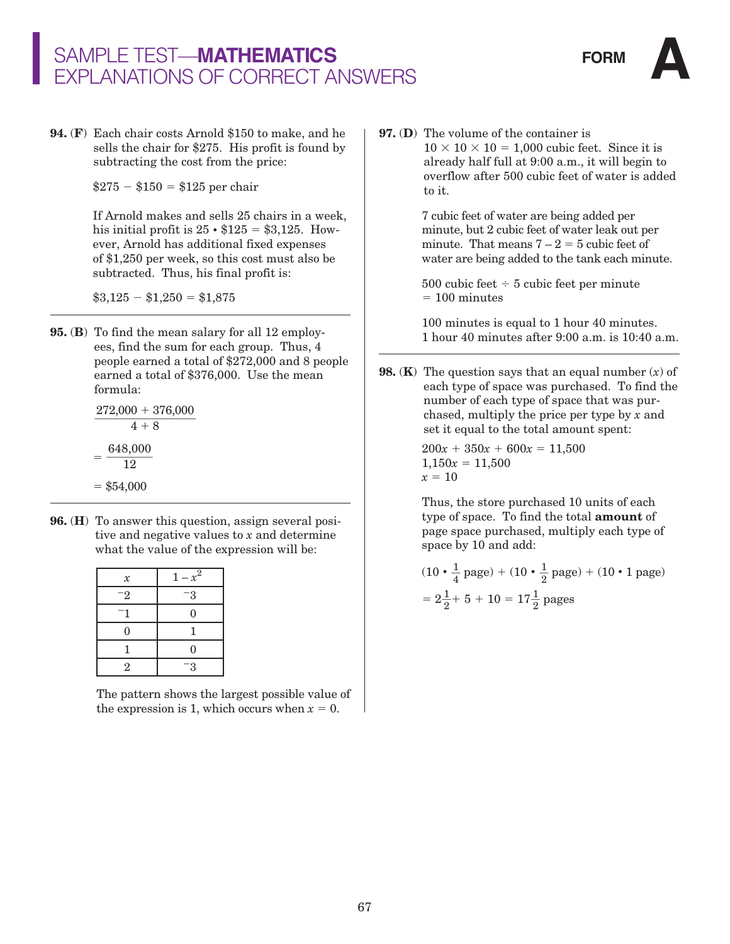**94.** (**F**) Each chair costs Arnold \$150 to make, and he sells the chair for \$275. His profit is found by subtracting the cost from the price:

 $$275 - $150 = $125$  per chair

 If Arnold makes and sells 25 chairs in a week, his initial profit is  $25 \cdot $125 = $3,125$ . However, Arnold has additional fixed expenses of \$1,250 per week, so this cost must also be subtracted. Thus, his final profit is:

 $\$3,125 - \$1,250 = \$1,875$ 

**95.** (**B**) To find the mean salary for all 12 employees, find the sum for each group. Thus, 4 people earned a total of \$272,000 and 8 people earned a total of \$376,000. Use the mean formula:

> $272,000 + 376,000$ 648,000 12  $= $54,000$  $\overline{4 + 8}$

**96.** (**H**) To answer this question, assign several positive and negative values to *x* and determine what the value of the expression will be:

| $\boldsymbol{\mathcal{X}}$ | $1 - x^2$ |
|----------------------------|-----------|
| -2                         | -3        |
|                            | 0         |
| $\overline{0}$             | 1         |
|                            | $\Omega$  |
| $\overline{2}$             | -3        |

 The pattern shows the largest possible value of the expression is 1, which occurs when  $x = 0$ .

**97.** (**D**) The volume of the container is  $10 \times 10 \times 10 = 1,000$  cubic feet. Since it is already half full at 9:00 a.m., it will begin to overflow after 500 cubic feet of water is added to it.

> 7 cubic feet of water are being added per minute, but 2 cubic feet of water leak out per minute. That means  $7 - 2 = 5$  cubic feet of water are being added to the tank each minute.

500 cubic feet  $\div$  5 cubic feet per minute  $= 100$  minutes

 100 minutes is equal to 1 hour 40 minutes. 1 hour 40 minutes after 9:00 a.m. is 10:40 a.m.

**98.** (**K**) The question says that an equal number (*x*) of each type of space was purchased. To find the number of each type of space that was purchased, multiply the price per type by *x* and set it equal to the total amount spent:

> $200x + 350x + 600x = 11,500$  $1,150x = 11,500$  $x = 10$

 Thus, the store purchased 10 units of each type of space. To find the total **amount** of page space purchased, multiply each type of space by 10 and add:

$$
(10 \cdot \frac{1}{4} \text{ page}) + (10 \cdot \frac{1}{2} \text{ page}) + (10 \cdot 1 \text{ page})
$$

$$
= 2\frac{1}{2} + 5 + 10 = 17\frac{1}{2} \text{ pages}
$$